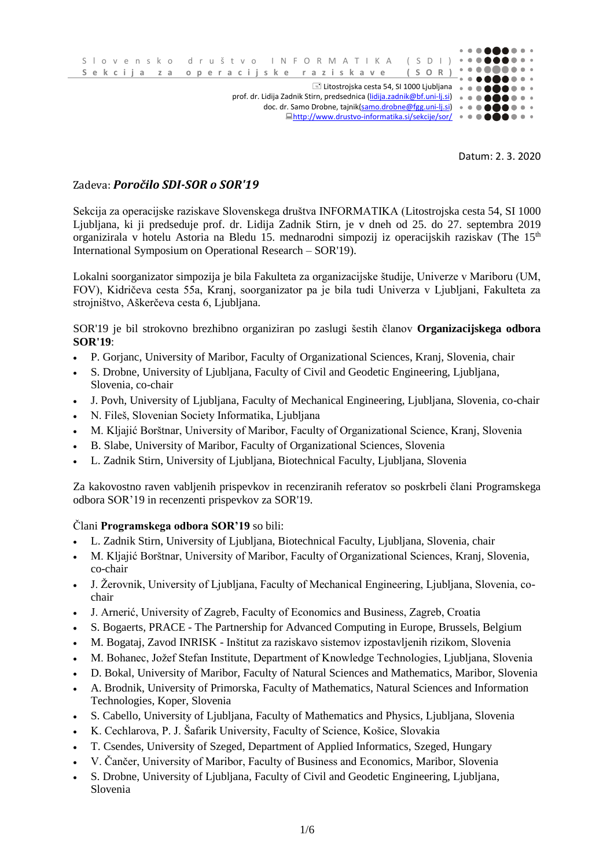

Datum: 2. 3. 2020

## Zadeva: *Poročilo SDI-SOR o SOR'19*

Sekcija za operacijske raziskave Slovenskega društva INFORMATIKA (Litostrojska cesta 54, SI 1000 Ljubljana, ki ji predseduje prof. dr. Lidija Zadnik Stirn, je v dneh od 25. do 27. septembra 2019 organizirala v hotelu Astoria na Bledu 15. mednarodni simpozij iz operacijskih raziskav (The 15<sup>th</sup> International Symposium on Operational Research – SOR'19).

Lokalni soorganizator simpozija je bila Fakulteta za organizacijske študije, Univerze v Mariboru (UM, FOV), Kidričeva cesta 55a, Kranj, soorganizator pa je bila tudi Univerza v Ljubljani, Fakulteta za strojništvo, Aškerčeva cesta 6, Ljubljana.

SOR'19 je bil strokovno brezhibno organiziran po zaslugi šestih članov **Organizacijskega odbora SOR'19**:

- P. Gorjanc, University of Maribor, Faculty of Organizational Sciences, Kranj, Slovenia, chair
- S. Drobne, University of Ljubljana, Faculty of Civil and Geodetic Engineering, Ljubljana, Slovenia, co-chair
- J. Povh, University of Ljubljana, Faculty of Mechanical Engineering, Ljubljana, Slovenia, co-chair
- N. Fileš, Slovenian Society Informatika, Ljubljana
- M. Kljajić Borštnar, University of Maribor, Faculty of Organizational Science, Kranj, Slovenia
- B. Slabe, University of Maribor, Faculty of Organizational Sciences, Slovenia
- L. Zadnik Stirn, University of Ljubljana, Biotechnical Faculty, Ljubljana, Slovenia

Za kakovostno raven vabljenih prispevkov in recenziranih referatov so poskrbeli člani Programskega odbora SOR'19 in recenzenti prispevkov za SOR'19.

#### Člani **Programskega odbora SOR'19** so bili:

- L. Zadnik Stirn, University of Ljubljana, Biotechnical Faculty, Ljubljana, Slovenia, chair
- M. Kljajić Borštnar, University of Maribor, Faculty of Organizational Sciences, Kranj, Slovenia, co-chair
- J. Žerovnik, University of Ljubljana, Faculty of Mechanical Engineering, Ljubljana, Slovenia, cochair
- J. Arnerić, University of Zagreb, Faculty of Economics and Business, Zagreb, Croatia
- S. Bogaerts, PRACE The Partnership for Advanced Computing in Europe, Brussels, Belgium
- M. Bogataj, Zavod INRISK Inštitut za raziskavo sistemov izpostavljenih rizikom, Slovenia
- M. Bohanec, Jožef Stefan Institute, Department of Knowledge Technologies, Ljubljana, Slovenia
- D. Bokal, University of Maribor, Faculty of Natural Sciences and Mathematics, Maribor, Slovenia
- A. Brodnik, University of Primorska, Faculty of Mathematics, Natural Sciences and Information Technologies, Koper, Slovenia
- S. Cabello, University of Ljubljana, Faculty of Mathematics and Physics, Ljubljana, Slovenia
- K. Cechlarova, P. J. Šafarik University, Faculty of Science, Košice, Slovakia
- T. Csendes, University of Szeged, Department of Applied Informatics, Szeged, Hungary
- V. Čančer, University of Maribor, Faculty of Business and Economics, Maribor, Slovenia
- S. Drobne, University of Ljubljana, Faculty of Civil and Geodetic Engineering, Ljubljana, Slovenia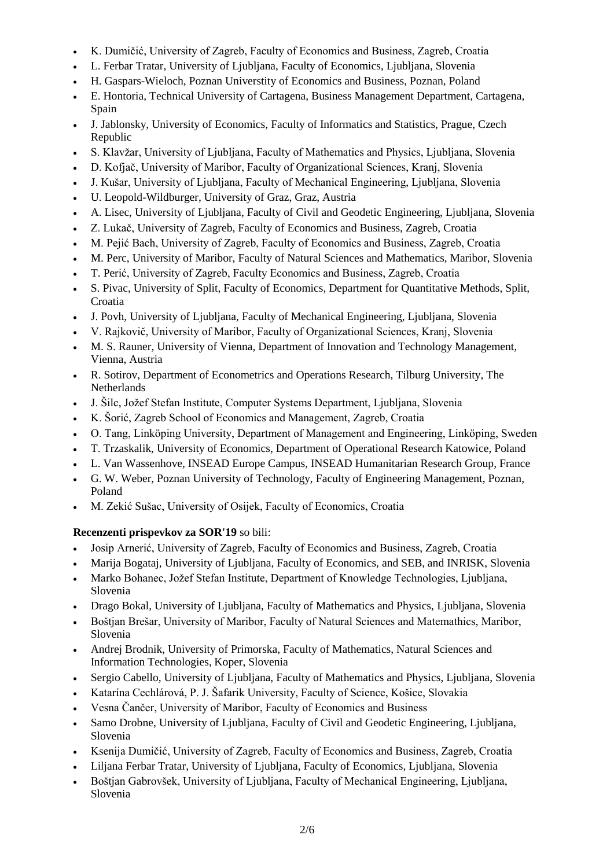- K. Dumičić, University of Zagreb, Faculty of Economics and Business, Zagreb, Croatia
- L. Ferbar Tratar, University of Ljubljana, Faculty of Economics, Ljubljana, Slovenia
- H. Gaspars-Wieloch, Poznan Universtity of Economics and Business, Poznan, Poland
- E. Hontoria, Technical University of Cartagena, Business Management Department, Cartagena, Spain
- J. Jablonsky, University of Economics, Faculty of Informatics and Statistics, Prague, Czech Republic
- S. Klavžar, University of Ljubljana, Faculty of Mathematics and Physics, Ljubljana, Slovenia
- D. Kofjač, University of Maribor, Faculty of Organizational Sciences, Kranj, Slovenia
- J. Kušar, University of Ljubljana, Faculty of Mechanical Engineering, Ljubljana, Slovenia
- U. Leopold-Wildburger, University of Graz, Graz, Austria
- A. Lisec, University of Ljubljana, Faculty of Civil and Geodetic Engineering, Ljubljana, Slovenia
- Z. Lukač, University of Zagreb, Faculty of Economics and Business, Zagreb, Croatia
- M. Pejić Bach, University of Zagreb, Faculty of Economics and Business, Zagreb, Croatia
- M. Perc, University of Maribor, Faculty of Natural Sciences and Mathematics, Maribor, Slovenia
- T. Perić, University of Zagreb, Faculty Economics and Business, Zagreb, Croatia
- S. Pivac, University of Split, Faculty of Economics, Department for Quantitative Methods, Split, Croatia
- J. Povh, University of Ljubljana, Faculty of Mechanical Engineering, Ljubljana, Slovenia
- V. Rajkovič, University of Maribor, Faculty of Organizational Sciences, Kranj, Slovenia
- M. S. Rauner, University of Vienna, Department of Innovation and Technology Management, Vienna, Austria
- R. Sotirov, Department of Econometrics and Operations Research, Tilburg University, The Netherlands
- J. Šilc, Jožef Stefan Institute, Computer Systems Department, Ljubljana, Slovenia
- K. Šorić, Zagreb School of Economics and Management, Zagreb, Croatia
- O. Tang, Linköping University, Department of Management and Engineering, Linköping, Sweden
- T. Trzaskalik, University of Economics, Department of Operational Research Katowice, Poland
- L. Van Wassenhove, INSEAD Europe Campus, INSEAD Humanitarian Research Group, France
- G. W. Weber, Poznan University of Technology, Faculty of Engineering Management, Poznan, Poland
- M. Zekić Sušac, University of Osijek, Faculty of Economics, Croatia

# **Recenzenti prispevkov za SOR'19** so bili:

- Josip Arnerić, University of Zagreb, Faculty of Economics and Business, Zagreb, Croatia
- Marija Bogataj, University of Ljubljana, Faculty of Economics, and SEB, and INRISK, Slovenia
- Marko Bohanec, Jožef Stefan Institute, Department of Knowledge Technologies, Ljubljana, Slovenia
- Drago Bokal, University of Ljubljana, Faculty of Mathematics and Physics, Ljubljana, Slovenia
- Boštjan Brešar, University of Maribor, Faculty of Natural Sciences and Matemathics, Maribor, Slovenia
- Andrej Brodnik, University of Primorska, Faculty of Mathematics, Natural Sciences and Information Technologies, Koper, Slovenia
- Sergio Cabello, University of Liubliana, Faculty of Mathematics and Physics, Liubliana, Slovenia
- Katarína Cechlárová, P. J. Šafarik University, Faculty of Science, Košice, Slovakia
- Vesna Čančer, University of Maribor, Faculty of Economics and Business
- Samo Drobne, University of Ljubljana, Faculty of Civil and Geodetic Engineering, Ljubljana, Slovenia
- Ksenija Dumičić, University of Zagreb, Faculty of Economics and Business, Zagreb, Croatia
- Liljana Ferbar Tratar, University of Ljubljana, Faculty of Economics, Ljubljana, Slovenia
- Boštjan Gabrovšek, University of Ljubljana, Faculty of Mechanical Engineering, Ljubljana, Slovenia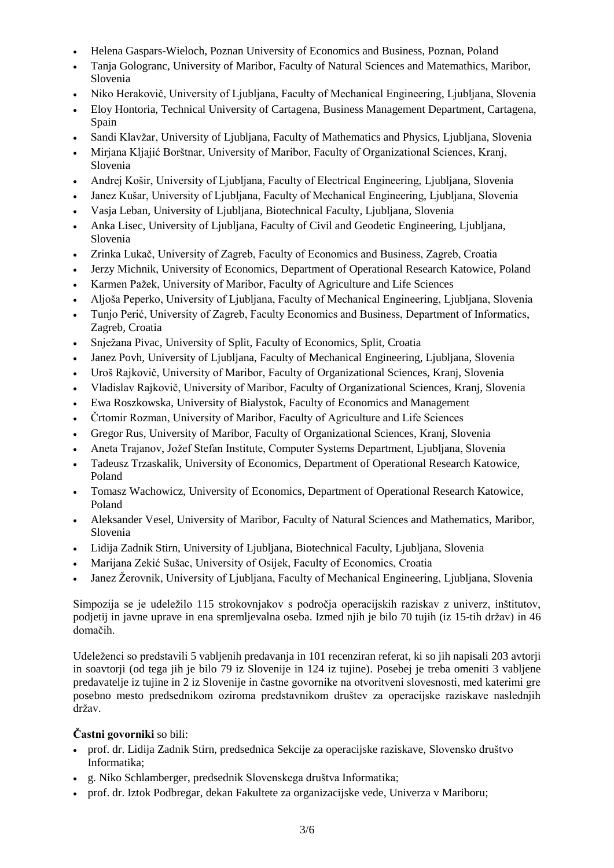- Helena Gaspars-Wieloch, Poznan University of Economics and Business, Poznan, Poland
- Tanja Gologranc, University of Maribor, Faculty of Natural Sciences and Matemathics, Maribor, Slovenia
- Niko Herakovič, University of Ljubljana, Faculty of Mechanical Engineering, Ljubljana, Slovenia
- Eloy Hontoria, Technical University of Cartagena, Business Management Department, Cartagena, Spain
- Sandi Klavžar, University of Ljubljana, Faculty of Mathematics and Physics, Ljubljana, Slovenia
- Mirjana Kljajić Borštnar, University of Maribor, Faculty of Organizational Sciences, Kranj, Slovenia
- Andrej Košir, University of Ljubljana, Faculty of Electrical Engineering, Ljubljana, Slovenia
- Janez Kušar, University of Ljubljana, Faculty of Mechanical Engineering, Ljubljana, Slovenia
- Vasja Leban, University of Ljubljana, Biotechnical Faculty, Ljubljana, Slovenia
- Anka Lisec, University of Ljubljana, Faculty of Civil and Geodetic Engineering, Ljubljana, Slovenia
- Zrinka Lukač, University of Zagreb, Faculty of Economics and Business, Zagreb, Croatia
- Jerzy Michnik, University of Economics, Department of Operational Research Katowice, Poland
- Karmen Pažek, University of Maribor, Faculty of Agriculture and Life Sciences
- Aljoša Peperko, University of Ljubljana, Faculty of Mechanical Engineering, Ljubljana, Slovenia
- Tunjo Perić, University of Zagreb, Faculty Economics and Business, Department of Informatics, Zagreb, Croatia
- Snježana Pivac, University of Split, Faculty of Economics, Split, Croatia
- Janez Povh, University of Ljubljana, Faculty of Mechanical Engineering, Ljubljana, Slovenia
- Uroš Rajkovič, University of Maribor, Faculty of Organizational Sciences, Kranj, Slovenia
- Vladislav Rajkovič, University of Maribor, Faculty of Organizational Sciences, Kranj, Slovenia
- Ewa Roszkowska, University of Bialystok, Faculty of Economics and Management
- Črtomir Rozman, University of Maribor, Faculty of Agriculture and Life Sciences
- Gregor Rus, University of Maribor, Faculty of Organizational Sciences, Kranj, Slovenia
- Aneta Trajanov, Jožef Stefan Institute, Computer Systems Department, Ljubljana, Slovenia
- Tadeusz Trzaskalik, University of Economics, Department of Operational Research Katowice, Poland
- Tomasz Wachowicz, University of Economics, Department of Operational Research Katowice, Poland
- Aleksander Vesel, University of Maribor, Faculty of Natural Sciences and Mathematics, Maribor, Slovenia
- Lidija Zadnik Stirn, University of Ljubljana, Biotechnical Faculty, Ljubljana, Slovenia
- Marijana Zekić Sušac, University of Osijek, Faculty of Economics, Croatia
- Janez Žerovnik, University of Ljubljana, Faculty of Mechanical Engineering, Ljubljana, Slovenia

Simpozija se je udeležilo 115 strokovnjakov s področja operacijskih raziskav z univerz, inštitutov, podjetij in javne uprave in ena spremljevalna oseba. Izmed njih je bilo 70 tujih (iz 15-tih držav) in 46 domačih.

Udeleženci so predstavili 5 vabljenih predavanja in 101 recenziran referat, ki so jih napisali 203 avtorji in soavtorji (od tega jih je bilo 79 iz Slovenije in 124 iz tujine). Posebej je treba omeniti 3 vabljene predavatelje iz tujine in 2 iz Slovenije in častne govornike na otvoritveni slovesnosti, med katerimi gre posebno mesto predsednikom oziroma predstavnikom društev za operacijske raziskave naslednjih držav.

### **Častni govorniki** so bili:

- prof. dr. Lidija Zadnik Stirn, predsednica Sekcije za operacijske raziskave, Slovensko društvo Informatika;
- g. Niko Schlamberger, predsednik Slovenskega društva Informatika;
- prof. dr. Iztok Podbregar, dekan Fakultete za organizacijske vede, Univerza v Mariboru;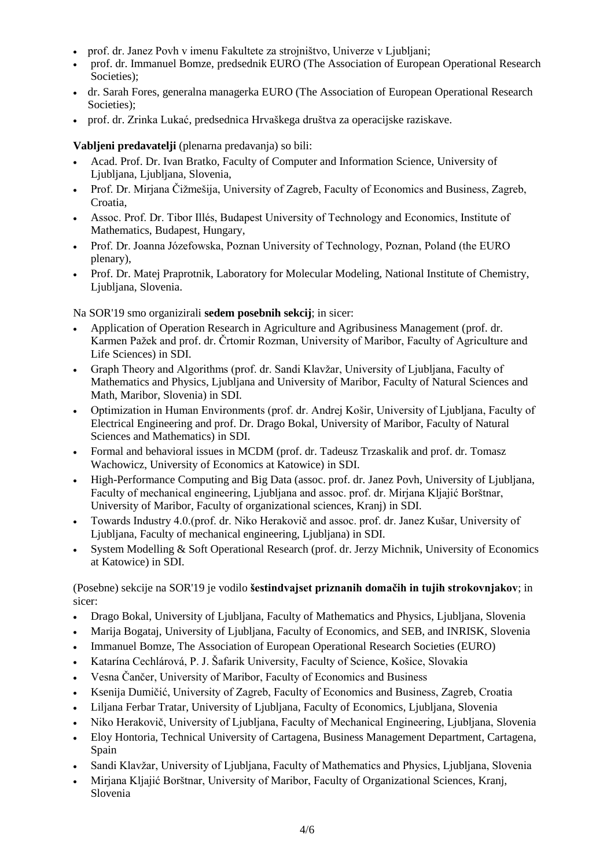- prof. dr. Janez Povh v imenu Fakultete za strojništvo, Univerze v Ljubljani;
- prof. dr. Immanuel Bomze, predsednik EURO (The Association of European Operational Research Societies):
- dr. Sarah Fores, generalna managerka EURO (The Association of European Operational Research Societies);
- prof. dr. Zrinka Lukać, predsednica Hrvaškega društva za operacijske raziskave.

### **Vabljeni predavatelji** (plenarna predavanja) so bili:

- Acad. Prof. Dr. Ivan Bratko, Faculty of Computer and Information Science, University of Ljubljana, Ljubljana, Slovenia,
- Prof. Dr. Mirjana Čižmešija, University of Zagreb, Faculty of Economics and Business, Zagreb, Croatia,
- Assoc. Prof. Dr. Tibor Illés, Budapest University of Technology and Economics, Institute of Mathematics, Budapest, Hungary,
- Prof. Dr. Joanna Józefowska, Poznan University of Technology, Poznan, Poland (the EURO plenary),
- Prof. Dr. Matej Praprotnik, Laboratory for Molecular Modeling, National Institute of Chemistry, Ljubljana, Slovenia.

Na SOR'19 smo organizirali **sedem posebnih sekcij**; in sicer:

- Application of Operation Research in Agriculture and Agribusiness Management (prof. dr. Karmen Pažek and prof. dr. Črtomir Rozman, University of Maribor, Faculty of Agriculture and Life Sciences) in SDI.
- Graph Theory and Algorithms (prof. dr. Sandi Klavžar, University of Ljubljana, Faculty of Mathematics and Physics, Ljubljana and University of Maribor, Faculty of Natural Sciences and Math, Maribor, Slovenia) in SDI.
- Optimization in Human Environments (prof. dr. Andrej Košir, University of Ljubljana, Faculty of Electrical Engineering and prof. Dr. Drago Bokal, University of Maribor, Faculty of Natural Sciences and Mathematics) in SDI.
- Formal and behavioral issues in MCDM (prof. dr. Tadeusz Trzaskalik and prof. dr. Tomasz Wachowicz, University of Economics at Katowice) in SDI.
- High-Performance Computing and Big Data (assoc. prof. dr. Janez Povh, University of Ljubljana, Faculty of mechanical engineering, Ljubljana and assoc. prof. dr. Mirjana Kljajić Borštnar, University of Maribor, Faculty of organizational sciences, Kranj) in SDI.
- Towards Industry 4.0.(prof. dr. Niko Herakovič and assoc. prof. dr. Janez Kušar, University of Ljubljana, Faculty of mechanical engineering, Ljubljana) in SDI.
- System Modelling & Soft Operational Research (prof. dr. Jerzy Michnik, University of Economics at Katowice) in SDI.

(Posebne) sekcije na SOR'19 je vodilo **šestindvajset priznanih domačih in tujih strokovnjakov**; in sicer:

- Drago Bokal, University of Liubliana, Faculty of Mathematics and Physics, Liubliana, Slovenia
- Marija Bogataj, University of Ljubljana, Faculty of Economics, and SEB, and INRISK, Slovenia
- Immanuel Bomze, The Association of European Operational Research Societies (EURO)
- Katarína Cechlárová, P. J. Šafarik University, Faculty of Science, Košice, Slovakia
- Vesna Čančer, University of Maribor, Faculty of Economics and Business
- Ksenija Dumičić, University of Zagreb, Faculty of Economics and Business, Zagreb, Croatia
- Liljana Ferbar Tratar, University of Ljubljana, Faculty of Economics, Ljubljana, Slovenia
- Niko Herakovič, University of Ljubljana, Faculty of Mechanical Engineering, Ljubljana, Slovenia
- Eloy Hontoria, Technical University of Cartagena, Business Management Department, Cartagena, Spain
- Sandi Klavžar, University of Ljubljana, Faculty of Mathematics and Physics, Ljubljana, Slovenia
- Mirjana Kljajić Borštnar, University of Maribor, Faculty of Organizational Sciences, Kranj, Slovenia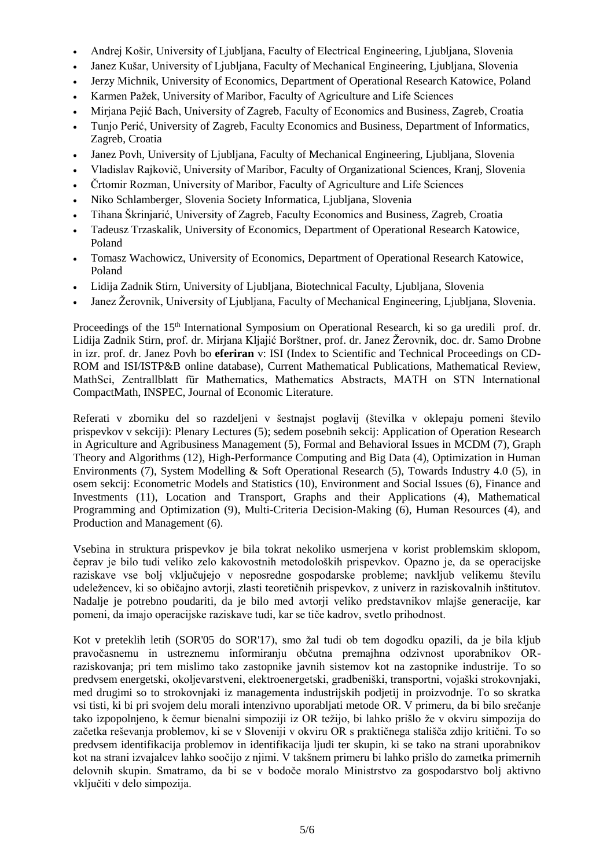- Andrej Košir, University of Ljubljana, Faculty of Electrical Engineering, Ljubljana, Slovenia
- Janez Kušar, University of Ljubljana, Faculty of Mechanical Engineering, Ljubljana, Slovenia
- Jerzy Michnik, University of Economics, Department of Operational Research Katowice, Poland
- Karmen Pažek, University of Maribor, Faculty of Agriculture and Life Sciences
- Mirjana Pejić Bach, University of Zagreb, Faculty of Economics and Business, Zagreb, Croatia
- Tunjo Perić, University of Zagreb, Faculty Economics and Business, Department of Informatics, Zagreb, Croatia
- Janez Povh, University of Ljubljana, Faculty of Mechanical Engineering, Ljubljana, Slovenia
- Vladislav Rajkovič, University of Maribor, Faculty of Organizational Sciences, Kranj, Slovenia
- Črtomir Rozman, University of Maribor, Faculty of Agriculture and Life Sciences
- Niko Schlamberger, Slovenia Society Informatica, Ljubljana, Slovenia
- Tihana Škrinjarić, University of Zagreb, Faculty Economics and Business, Zagreb, Croatia
- Tadeusz Trzaskalik, University of Economics, Department of Operational Research Katowice, Poland
- Tomasz Wachowicz, University of Economics, Department of Operational Research Katowice, Poland
- Lidija Zadnik Stirn, University of Ljubljana, Biotechnical Faculty, Ljubljana, Slovenia
- Janez Žerovnik, University of Ljubljana, Faculty of Mechanical Engineering, Ljubljana, Slovenia.

Proceedings of the 15<sup>th</sup> International Symposium on Operational Research, ki so ga uredili prof. dr. Lidija Zadnik Stirn, prof. dr. Mirjana Kljajić Borštner, prof. dr. Janez Žerovnik, doc. dr. Samo Drobne in izr. prof. dr. Janez Povh bo **eferiran** v: ISI (Index to Scientific and Technical Proceedings on CD-ROM and ISI/ISTP&B online database), Current Mathematical Publications, Mathematical Review, MathSci, Zentrallblatt für Mathematics, Mathematics Abstracts, MATH on STN International CompactMath, INSPEC, Journal of Economic Literature.

Referati v zborniku del so razdeljeni v šestnajst poglavij (številka v oklepaju pomeni število prispevkov v sekciji): Plenary Lectures (5); sedem posebnih sekcij: Application of Operation Research in Agriculture and Agribusiness Management (5), Formal and Behavioral Issues in MCDM (7), Graph Theory and Algorithms (12), High-Performance Computing and Big Data (4), Optimization in Human Environments (7), System Modelling & Soft Operational Research (5), Towards Industry 4.0 (5), in osem sekcij: Econometric Models and Statistics (10), Environment and Social Issues (6), Finance and Investments (11), Location and Transport, Graphs and their Applications (4), Mathematical Programming and Optimization (9), Multi-Criteria Decision-Making (6), Human Resources (4), and Production and Management (6).

Vsebina in struktura prispevkov je bila tokrat nekoliko usmerjena v korist problemskim sklopom, čeprav je bilo tudi veliko zelo kakovostnih metodoloških prispevkov. Opazno je, da se operacijske raziskave vse bolj vključujejo v neposredne gospodarske probleme; navkljub velikemu številu udeležencev, ki so običajno avtorji, zlasti teoretičnih prispevkov, z univerz in raziskovalnih inštitutov. Nadalje je potrebno poudariti, da je bilo med avtorji veliko predstavnikov mlajše generacije, kar pomeni, da imajo operacijske raziskave tudi, kar se tiče kadrov, svetlo prihodnost.

Kot v preteklih letih (SOR'05 do SOR'17), smo žal tudi ob tem dogodku opazili, da je bila kljub pravočasnemu in ustreznemu informiranju občutna premajhna odzivnost uporabnikov ORraziskovanja; pri tem mislimo tako zastopnike javnih sistemov kot na zastopnike industrije. To so predvsem energetski, okoljevarstveni, elektroenergetski, gradbeniški, transportni, vojaški strokovnjaki, med drugimi so to strokovnjaki iz managementa industrijskih podjetij in proizvodnje. To so skratka vsi tisti, ki bi pri svojem delu morali intenzivno uporabljati metode OR. V primeru, da bi bilo srečanje tako izpopolnjeno, k čemur bienalni simpoziji iz OR težijo, bi lahko prišlo že v okviru simpozija do začetka reševanja problemov, ki se v Sloveniji v okviru OR s praktičnega stališča zdijo kritični. To so predvsem identifikacija problemov in identifikacija ljudi ter skupin, ki se tako na strani uporabnikov kot na strani izvajalcev lahko soočijo z njimi. V takšnem primeru bi lahko prišlo do zametka primernih delovnih skupin. Smatramo, da bi se v bodoče moralo Ministrstvo za gospodarstvo bolj aktivno vključiti v delo simpozija.